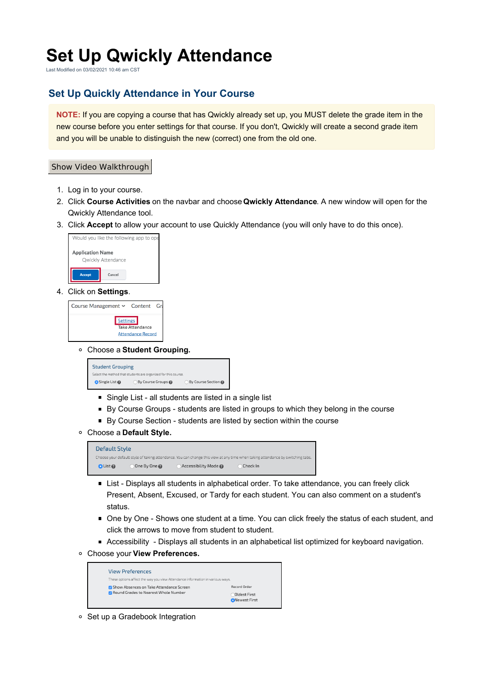## **Set Up Qwickly Attendance**

Last Modified on 03/02/2021 10:46 am CST

## **Set Up Quickly Attendance in Your Course**

**NOTE:** If you are copying a course that has Qwickly already set up, you MUST delete the grade item in the new course before you enter settings for that course. If you don't, Qwickly will create a second grade item and you will be unable to distinguish the new (correct) one from the old one.

## Show Video Walkthrough

- 1. Log in to your course.
- 2. Click **Course Activities** on the navbar and choose **Qwickly Attendance**. A new window will open for the Qwickly Attendance tool.
- 3. Click **Accept** to allow your account to use Quickly Attendance (you will only have to do this once).



4. Click on **Settings**.

Course Management v Content Gr Settings Take Attendance **Attendance Record** 

Choose a **Student Grouping.**



- Single List all students are listed in a single list
- By Course Groups students are listed in groups to which they belong in the course
- By Course Section students are listed by section within the course
- Choose a **Default Style.**

| Default Style |            |                    |                                                                                                                                |  |  |  |
|---------------|------------|--------------------|--------------------------------------------------------------------------------------------------------------------------------|--|--|--|
|               |            |                    | Choose your default style of taking attendance. You can change this view at any time when taking attendance by switching tabs. |  |  |  |
| $O$ List $O$  | One By One | Accessibility Mode | Check In                                                                                                                       |  |  |  |

- List Displays all students in alphabetical order. To take attendance, you can freely click Present, Absent, Excused, or Tardy for each student. You can also comment on a student's status.
- One by One Shows one student at a time. You can click freely the status of each student, and click the arrows to move from student to student.
- Accessibility Displays all students in an alphabetical list optimized for keyboard navigation.
- Choose your **View Preferences.**

| <b>View Preferences</b>                                                       |                      |
|-------------------------------------------------------------------------------|----------------------|
| These options affect the way you view Attendance information in various ways. |                      |
| Show Absences on Take Attendance Screen                                       | Record Order         |
| MRound Grades to Nearest Whole Number                                         | Oldest First         |
|                                                                               | <b>ONewest First</b> |

○ Set up a Gradebook Integration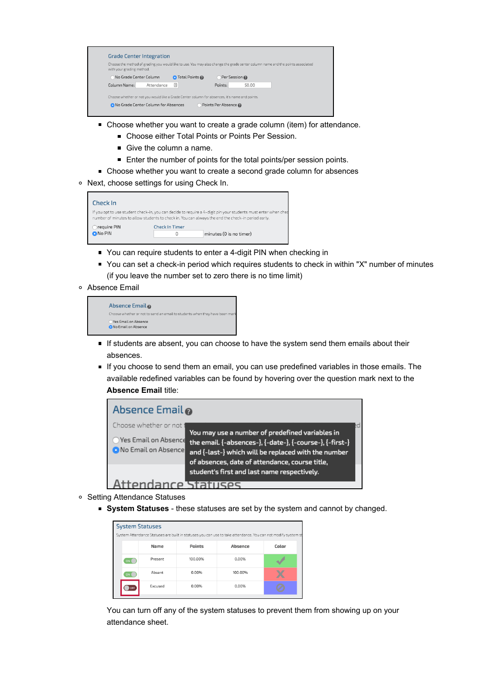| with your grading method.                                                                      |                       | Choose the method of grading you would like to use. You may also change the grade center column name and the points associated |
|------------------------------------------------------------------------------------------------|-----------------------|--------------------------------------------------------------------------------------------------------------------------------|
| No Grade Center Column                                                                         | <b>O</b> Total Points | Per Session                                                                                                                    |
| Column Name:<br>Attendance                                                                     | 国                     | Points:<br>50.00                                                                                                               |
| Choose whether or not you would like a Grade Center column for absences, it's name and points. |                       |                                                                                                                                |

- Choose whether you want to create a grade column (item) for attendance.
	- **Choose either Total Points or Points Per Session.**
	- Give the column a name.
	- Enter the number of points for the total points/per session points.
- Choose whether you want to create a second grade column for absences
- o Next, choose settings for using Check In.



- You can require students to enter a 4-digit PIN when checking in
- You can set a check-in period which requires students to check in within "X" number of minutes (if you leave the number set to zero there is no time limit)
- Absence Email

| Absence Email <b>@</b>                                                      |  |
|-----------------------------------------------------------------------------|--|
| Choose whether or not to send an email to students when they have been mark |  |
| Yes Email on Absence<br><b>O</b> No Email on Absence                        |  |

- If students are absent, you can choose to have the system send them emails about their absences.
- **If you choose to send them an email, you can use predefined variables in those emails. The** available redefined variables can be found by hovering over the question mark next to the **Absence Email** title:



- o Setting Attendance Statuses
	- **System Statuses** these statuses are set by the system and cannot by changed.

| <b>System Statuses</b> |                                                                                                               |         |               |         |       |  |  |
|------------------------|---------------------------------------------------------------------------------------------------------------|---------|---------------|---------|-------|--|--|
|                        | System Attendance Statuses are built in statuses you can use to take attendance. You can not modify system st |         |               |         |       |  |  |
|                        |                                                                                                               | Name    | <b>Points</b> | Absence | Color |  |  |
|                        | ON                                                                                                            | Present | 100.00%       | 0.00%   |       |  |  |
|                        | ON                                                                                                            | Absent  | 0.00%         | 100.00% |       |  |  |
|                        | OFF                                                                                                           | Excused | 0.00%         | 0.00%   |       |  |  |
|                        |                                                                                                               |         |               |         |       |  |  |

You can turn off any of the system statuses to prevent them from showing up on your attendance sheet.